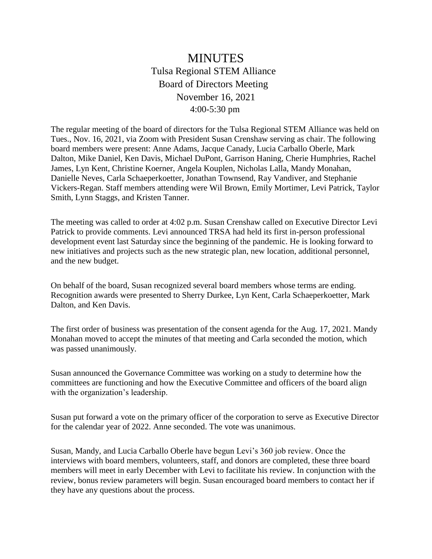## MINUTES Tulsa Regional STEM Alliance Board of Directors Meeting November 16, 2021 4:00-5:30 pm

The regular meeting of the board of directors for the Tulsa Regional STEM Alliance was held on Tues., Nov. 16, 2021, via Zoom with President Susan Crenshaw serving as chair. The following board members were present: Anne Adams, Jacque Canady, Lucia Carballo Oberle, Mark Dalton, Mike Daniel, Ken Davis, Michael DuPont, Garrison Haning, Cherie Humphries, Rachel James, Lyn Kent, Christine Koerner, Angela Kouplen, Nicholas Lalla, Mandy Monahan, Danielle Neves, Carla Schaeperkoetter, Jonathan Townsend, Ray Vandiver, and Stephanie Vickers-Regan. Staff members attending were Wil Brown, Emily Mortimer, Levi Patrick, Taylor Smith, Lynn Staggs, and Kristen Tanner.

The meeting was called to order at 4:02 p.m. Susan Crenshaw called on Executive Director Levi Patrick to provide comments. Levi announced TRSA had held its first in-person professional development event last Saturday since the beginning of the pandemic. He is looking forward to new initiatives and projects such as the new strategic plan, new location, additional personnel, and the new budget.

On behalf of the board, Susan recognized several board members whose terms are ending. Recognition awards were presented to Sherry Durkee, Lyn Kent, Carla Schaeperkoetter, Mark Dalton, and Ken Davis.

The first order of business was presentation of the consent agenda for the Aug. 17, 2021. Mandy Monahan moved to accept the minutes of that meeting and Carla seconded the motion, which was passed unanimously.

Susan announced the Governance Committee was working on a study to determine how the committees are functioning and how the Executive Committee and officers of the board align with the organization's leadership.

Susan put forward a vote on the primary officer of the corporation to serve as Executive Director for the calendar year of 2022. Anne seconded. The vote was unanimous.

Susan, Mandy, and Lucia Carballo Oberle have begun Levi's 360 job review. Once the interviews with board members, volunteers, staff, and donors are completed, these three board members will meet in early December with Levi to facilitate his review. In conjunction with the review, bonus review parameters will begin. Susan encouraged board members to contact her if they have any questions about the process.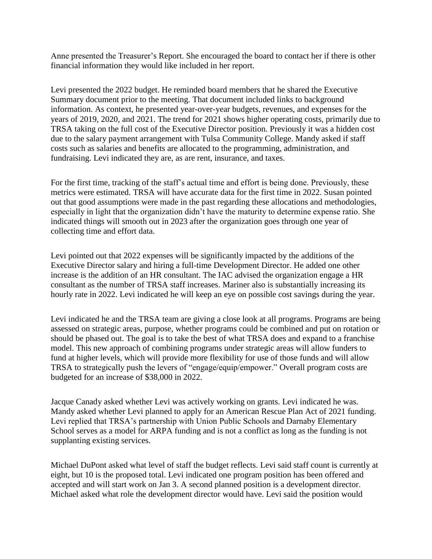Anne presented the Treasurer's Report. She encouraged the board to contact her if there is other financial information they would like included in her report.

Levi presented the 2022 budget. He reminded board members that he shared the Executive Summary document prior to the meeting. That document included links to background information. As context, he presented year-over-year budgets, revenues, and expenses for the years of 2019, 2020, and 2021. The trend for 2021 shows higher operating costs, primarily due to TRSA taking on the full cost of the Executive Director position. Previously it was a hidden cost due to the salary payment arrangement with Tulsa Community College. Mandy asked if staff costs such as salaries and benefits are allocated to the programming, administration, and fundraising. Levi indicated they are, as are rent, insurance, and taxes.

For the first time, tracking of the staff's actual time and effort is being done. Previously, these metrics were estimated. TRSA will have accurate data for the first time in 2022. Susan pointed out that good assumptions were made in the past regarding these allocations and methodologies, especially in light that the organization didn't have the maturity to determine expense ratio. She indicated things will smooth out in 2023 after the organization goes through one year of collecting time and effort data.

Levi pointed out that 2022 expenses will be significantly impacted by the additions of the Executive Director salary and hiring a full-time Development Director. He added one other increase is the addition of an HR consultant. The IAC advised the organization engage a HR consultant as the number of TRSA staff increases. Mariner also is substantially increasing its hourly rate in 2022. Levi indicated he will keep an eye on possible cost savings during the year.

Levi indicated he and the TRSA team are giving a close look at all programs. Programs are being assessed on strategic areas, purpose, whether programs could be combined and put on rotation or should be phased out. The goal is to take the best of what TRSA does and expand to a franchise model. This new approach of combining programs under strategic areas will allow funders to fund at higher levels, which will provide more flexibility for use of those funds and will allow TRSA to strategically push the levers of "engage/equip/empower." Overall program costs are budgeted for an increase of \$38,000 in 2022.

Jacque Canady asked whether Levi was actively working on grants. Levi indicated he was. Mandy asked whether Levi planned to apply for an American Rescue Plan Act of 2021 funding. Levi replied that TRSA's partnership with Union Public Schools and Darnaby Elementary School serves as a model for ARPA funding and is not a conflict as long as the funding is not supplanting existing services.

Michael DuPont asked what level of staff the budget reflects. Levi said staff count is currently at eight, but 10 is the proposed total. Levi indicated one program position has been offered and accepted and will start work on Jan 3. A second planned position is a development director. Michael asked what role the development director would have. Levi said the position would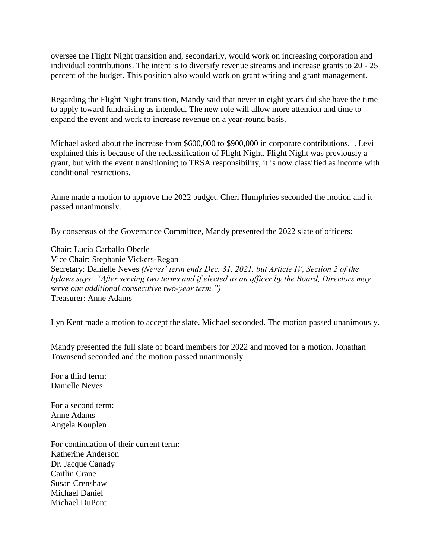oversee the Flight Night transition and, secondarily, would work on increasing corporation and individual contributions. The intent is to diversify revenue streams and increase grants to 20 - 25 percent of the budget. This position also would work on grant writing and grant management.

Regarding the Flight Night transition, Mandy said that never in eight years did she have the time to apply toward fundraising as intended. The new role will allow more attention and time to expand the event and work to increase revenue on a year-round basis.

Michael asked about the increase from \$600,000 to \$900,000 in corporate contributions. . Levi explained this is because of the reclassification of Flight Night. Flight Night was previously a grant, but with the event transitioning to TRSA responsibility, it is now classified as income with conditional restrictions.

Anne made a motion to approve the 2022 budget. Cheri Humphries seconded the motion and it passed unanimously.

By consensus of the Governance Committee, Mandy presented the 2022 slate of officers:

Chair: Lucia Carballo Oberle Vice Chair: Stephanie Vickers-Regan Secretary: Danielle Neves *(Neves' term ends Dec. 31, 2021, but Article IV, Section 2 of the bylaws says: "After serving two terms and if elected as an officer by the Board, Directors may serve one additional consecutive two-year term.")* Treasurer: Anne Adams

Lyn Kent made a motion to accept the slate. Michael seconded. The motion passed unanimously.

Mandy presented the full slate of board members for 2022 and moved for a motion. Jonathan Townsend seconded and the motion passed unanimously.

For a third term: Danielle Neves

For a second term: Anne Adams Angela Kouplen

For continuation of their current term: Katherine Anderson Dr. Jacque Canady Caitlin Crane Susan Crenshaw Michael Daniel Michael DuPont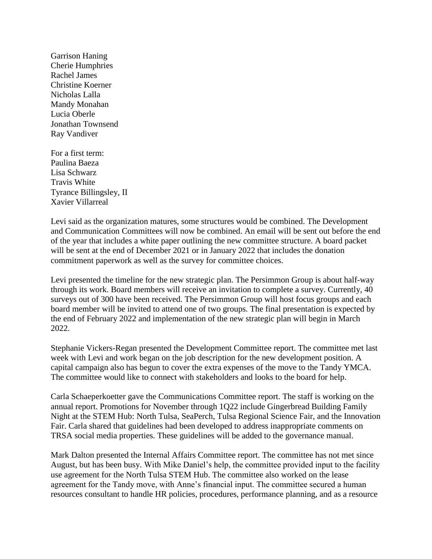Garrison Haning Cherie Humphries Rachel James Christine Koerner Nicholas Lalla Mandy Monahan Lucia Oberle Jonathan Townsend Ray Vandiver

For a first term: Paulina Baeza Lisa Schwarz Travis White Tyrance Billingsley, II Xavier Villarreal

Levi said as the organization matures, some structures would be combined. The Development and Communication Committees will now be combined. An email will be sent out before the end of the year that includes a white paper outlining the new committee structure. A board packet will be sent at the end of December 2021 or in January 2022 that includes the donation commitment paperwork as well as the survey for committee choices.

Levi presented the timeline for the new strategic plan. The Persimmon Group is about half-way through its work. Board members will receive an invitation to complete a survey. Currently, 40 surveys out of 300 have been received. The Persimmon Group will host focus groups and each board member will be invited to attend one of two groups. The final presentation is expected by the end of February 2022 and implementation of the new strategic plan will begin in March 2022.

Stephanie Vickers-Regan presented the Development Committee report. The committee met last week with Levi and work began on the job description for the new development position. A capital campaign also has begun to cover the extra expenses of the move to the Tandy YMCA. The committee would like to connect with stakeholders and looks to the board for help.

Carla Schaeperkoetter gave the Communications Committee report. The staff is working on the annual report. Promotions for November through 1Q22 include Gingerbread Building Family Night at the STEM Hub: North Tulsa, SeaPerch, Tulsa Regional Science Fair, and the Innovation Fair. Carla shared that guidelines had been developed to address inappropriate comments on TRSA social media properties. These guidelines will be added to the governance manual.

Mark Dalton presented the Internal Affairs Committee report. The committee has not met since August, but has been busy. With Mike Daniel's help, the committee provided input to the facility use agreement for the North Tulsa STEM Hub. The committee also worked on the lease agreement for the Tandy move, with Anne's financial input. The committee secured a human resources consultant to handle HR policies, procedures, performance planning, and as a resource